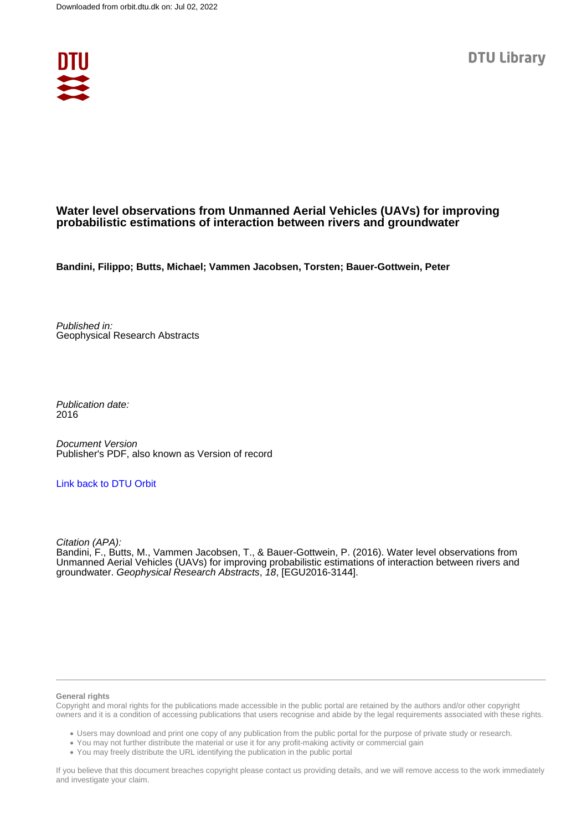

## **Water level observations from Unmanned Aerial Vehicles (UAVs) for improving probabilistic estimations of interaction between rivers and groundwater**

**Bandini, Filippo; Butts, Michael; Vammen Jacobsen, Torsten; Bauer-Gottwein, Peter**

Published in: Geophysical Research Abstracts

Publication date: 2016

Document Version Publisher's PDF, also known as Version of record

## [Link back to DTU Orbit](https://orbit.dtu.dk/en/publications/ecb74fd8-0e78-4bc8-8dc1-f2dd1b0efc21)

Citation (APA):

Bandini, F., Butts, M., Vammen Jacobsen, T., & Bauer-Gottwein, P. (2016). Water level observations from Unmanned Aerial Vehicles (UAVs) for improving probabilistic estimations of interaction between rivers and groundwater. Geophysical Research Abstracts, 18, [EGU2016-3144].

## **General rights**

Copyright and moral rights for the publications made accessible in the public portal are retained by the authors and/or other copyright owners and it is a condition of accessing publications that users recognise and abide by the legal requirements associated with these rights.

Users may download and print one copy of any publication from the public portal for the purpose of private study or research.

- You may not further distribute the material or use it for any profit-making activity or commercial gain
- You may freely distribute the URL identifying the publication in the public portal

If you believe that this document breaches copyright please contact us providing details, and we will remove access to the work immediately and investigate your claim.